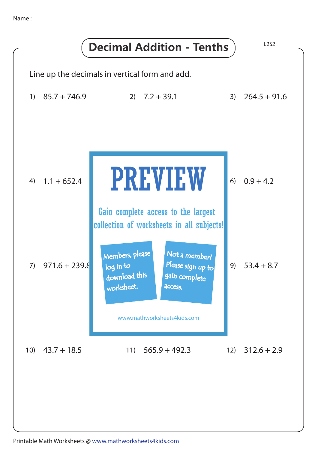